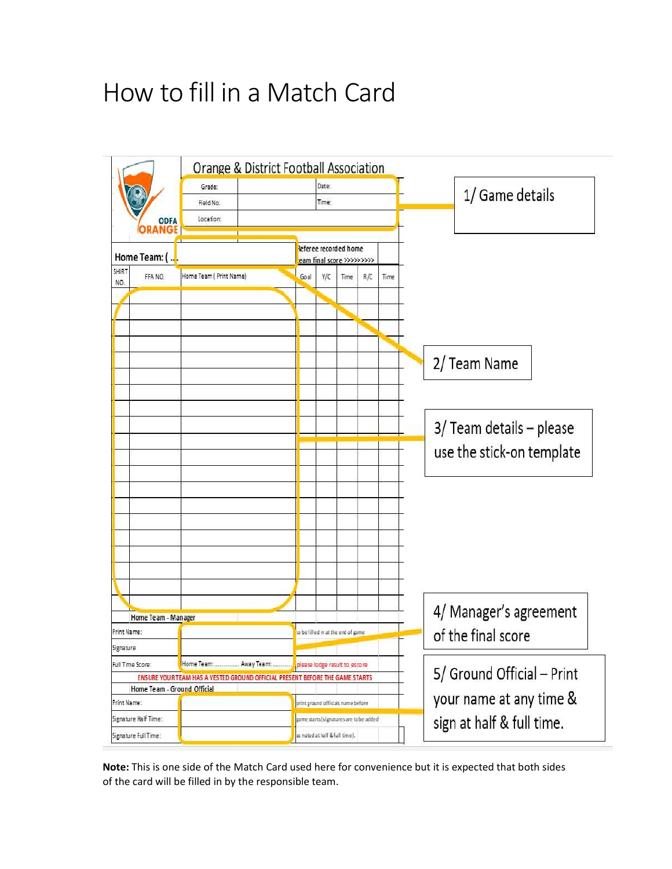# How to fill in a Match Card



Note: This is one side of the Match Card used here for convenience but it is expected that both sides of the card will be filled in by the responsible team.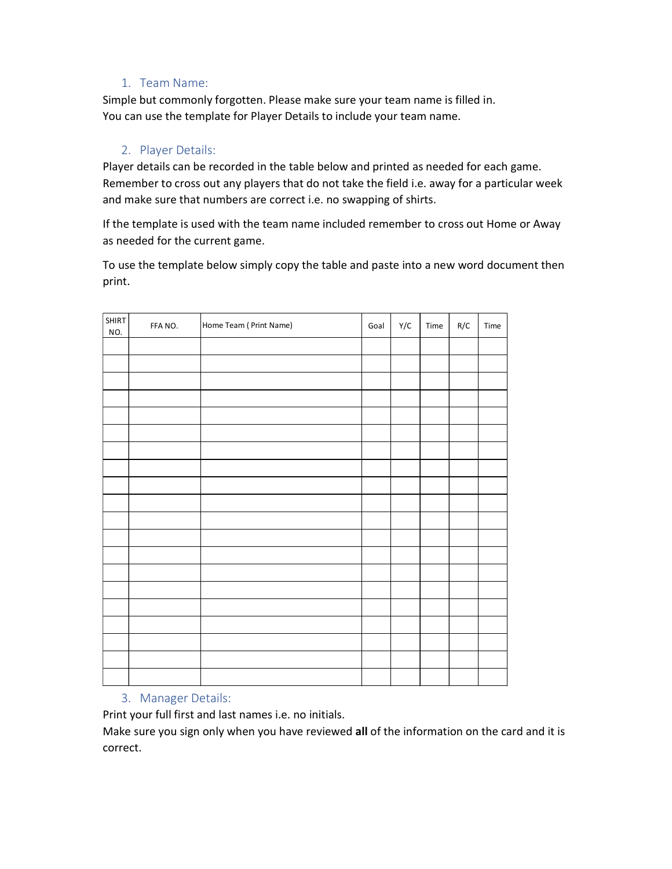### 1. Team Name:

# 2. Player Details:

|                     | 1. Team Name:      |                                                                                                                                                                                                                                                              |      |     |      |     |      |
|---------------------|--------------------|--------------------------------------------------------------------------------------------------------------------------------------------------------------------------------------------------------------------------------------------------------------|------|-----|------|-----|------|
|                     |                    | Simple but commonly forgotten. Please make sure your team name is filled in.<br>You can use the template for Player Details to include your team name.                                                                                                       |      |     |      |     |      |
|                     | 2. Player Details: |                                                                                                                                                                                                                                                              |      |     |      |     |      |
|                     |                    | Player details can be recorded in the table below and printed as needed for each game.<br>Remember to cross out any players that do not take the field i.e. away for a particular week<br>and make sure that numbers are correct i.e. no swapping of shirts. |      |     |      |     |      |
|                     |                    | If the template is used with the team name included remember to cross out Home or Away<br>as needed for the current game.                                                                                                                                    |      |     |      |     |      |
| print.              |                    | To use the template below simply copy the table and paste into a new word document then                                                                                                                                                                      |      |     |      |     |      |
| <b>SHIRT</b><br>NO. | FFA NO.            | Home Team ( Print Name)                                                                                                                                                                                                                                      | Goal | Y/C | Time | R/C | Time |
|                     |                    |                                                                                                                                                                                                                                                              |      |     |      |     |      |
|                     |                    |                                                                                                                                                                                                                                                              |      |     |      |     |      |
|                     |                    |                                                                                                                                                                                                                                                              |      |     |      |     |      |
|                     |                    |                                                                                                                                                                                                                                                              |      |     |      |     |      |
|                     |                    |                                                                                                                                                                                                                                                              |      |     |      |     |      |
|                     |                    |                                                                                                                                                                                                                                                              |      |     |      |     |      |
|                     |                    |                                                                                                                                                                                                                                                              |      |     |      |     |      |
|                     |                    |                                                                                                                                                                                                                                                              |      |     |      |     |      |
|                     |                    |                                                                                                                                                                                                                                                              |      |     |      |     |      |
|                     |                    |                                                                                                                                                                                                                                                              |      |     |      |     |      |
|                     |                    |                                                                                                                                                                                                                                                              |      |     |      |     |      |
|                     |                    |                                                                                                                                                                                                                                                              |      |     |      |     |      |
|                     |                    |                                                                                                                                                                                                                                                              |      |     |      |     |      |
|                     |                    |                                                                                                                                                                                                                                                              |      |     |      |     |      |
|                     |                    |                                                                                                                                                                                                                                                              |      |     |      |     |      |
|                     |                    |                                                                                                                                                                                                                                                              |      |     |      |     |      |

# 3. Manager Details:

Print your full first and last names i.e. no initials.

Make sure you sign only when you have reviewed all of the information on the card and it is correct.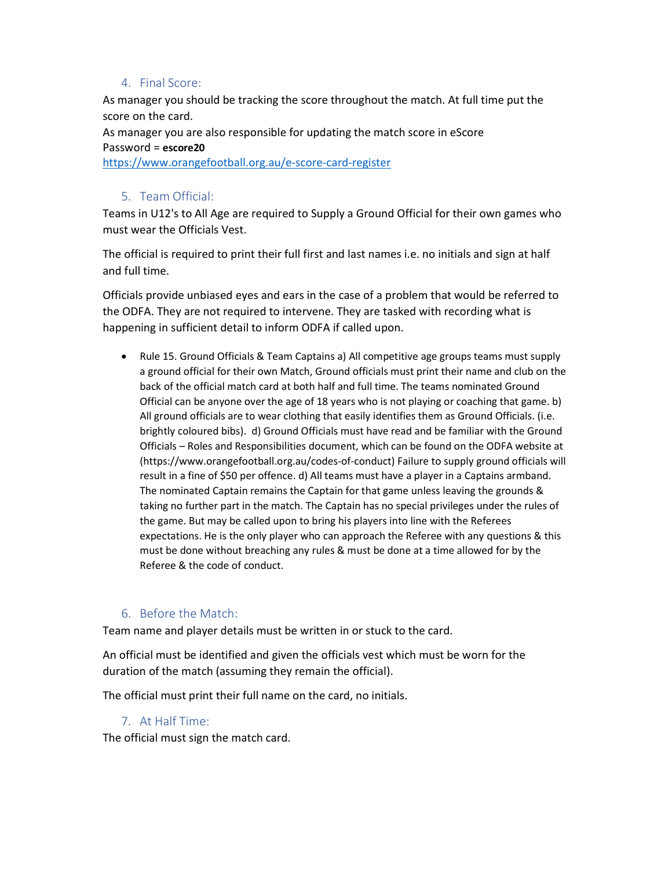# 4. Final Score:

As manager you should be tracking the score throughout the match. At full time put the score on the card.

As manager you are also responsible for updating the match score in eScore Password = escore20 https://www.orangefootball.org.au/e-score-card-register

#### 5. Team Official:

Teams in U12's to All Age are required to Supply a Ground Official for their own games who must wear the Officials Vest.

The official is required to print their full first and last names i.e. no initials and sign at half and full time.

Officials provide unbiased eyes and ears in the case of a problem that would be referred to the ODFA. They are not required to intervene. They are tasked with recording what is happening in sufficient detail to inform ODFA if called upon.

 Rule 15. Ground Officials & Team Captains a) All competitive age groups teams must supply a ground official for their own Match, Ground officials must print their name and club on the back of the official match card at both half and full time. The teams nominated Ground Official can be anyone over the age of 18 years who is not playing or coaching that game. b) All ground officials are to wear clothing that easily identifies them as Ground Officials. (i.e. brightly coloured bibs). d) Ground Officials must have read and be familiar with the Ground Officials – Roles and Responsibilities document, which can be found on the ODFA website at (https://www.orangefootball.org.au/codes-of-conduct) Failure to supply ground officials will result in a fine of \$50 per offence. d) All teams must have a player in a Captains armband. The nominated Captain remains the Captain for that game unless leaving the grounds & taking no further part in the match. The Captain has no special privileges under the rules of the game. But may be called upon to bring his players into line with the Referees expectations. He is the only player who can approach the Referee with any questions & this must be done without breaching any rules & must be done at a time allowed for by the Referee & the code of conduct.

# 6. Before the Match:

Team name and player details must be written in or stuck to the card.

An official must be identified and given the officials vest which must be worn for the duration of the match (assuming they remain the official).

The official must print their full name on the card, no initials.

# 7. At Half Time:

The official must sign the match card.